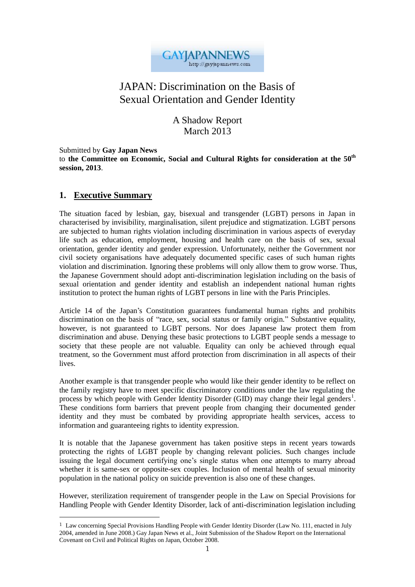

# JAPAN: Discrimination on the Basis of Sexual Orientation and Gender Identity

A Shadow Report March 2013

Submitted by **Gay Japan News**

to **the Committee on Economic, Social and Cultural Rights for consideration at the 50th session, 2013**.

### **1. Executive Summary**

 $\overline{a}$ 

The situation faced by lesbian, gay, bisexual and transgender (LGBT) persons in Japan in characterised by invisibility, marginalisation, silent prejudice and stigmatization. LGBT persons are subjected to human rights violation including discrimination in various aspects of everyday life such as education, employment, housing and health care on the basis of sex, sexual orientation, gender identity and gender expression. Unfortunately, neither the Government nor civil society organisations have adequately documented specific cases of such human rights violation and discrimination. Ignoring these problems will only allow them to grow worse. Thus, the Japanese Government should adopt anti-discrimination legislation including on the basis of sexual orientation and gender identity and establish an independent national human rights institution to protect the human rights of LGBT persons in line with the Paris Principles.

Article 14 of the Japan's Constitution guarantees fundamental human rights and prohibits discrimination on the basis of "race, sex, social status or family origin." Substantive equality, however, is not guaranteed to LGBT persons. Nor does Japanese law protect them from discrimination and abuse. Denying these basic protections to LGBT people sends a message to society that these people are not valuable. Equality can only be achieved through equal treatment, so the Government must afford protection from discrimination in all aspects of their lives.

Another example is that transgender people who would like their gender identity to be reflect on the family registry have to meet specific discriminatory conditions under the law regulating the process by which people with Gender Identity Disorder (GID) may change their legal genders<sup>1</sup>. These conditions form barriers that prevent people from changing their documented gender identity and they must be combated by providing appropriate health services, access to information and guaranteeing rights to identity expression.

It is notable that the Japanese government has taken positive steps in recent years towards protecting the rights of LGBT people by changing relevant policies. Such changes include issuing the legal document certifying one's single status when one attempts to marry abroad whether it is same-sex or opposite-sex couples. Inclusion of mental health of sexual minority population in the national policy on suicide prevention is also one of these changes.

However, sterilization requirement of transgender people in the Law on Special Provisions for Handling People with Gender Identity Disorder, lack of anti-discrimination legislation including

<sup>&</sup>lt;sup>1</sup> Law concerning Special Provisions Handling People with Gender Identity Disorder (Law No. 111, enacted in July 2004, amended in June 2008.) Gay Japan News et al., Joint Submission of the Shadow Report on the International Covenant on Civil and Political Rights on Japan, October 2008.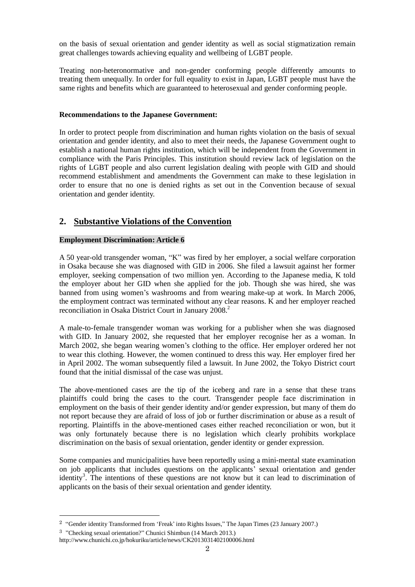on the basis of sexual orientation and gender identity as well as social stigmatization remain great challenges towards achieving equality and wellbeing of LGBT people.

Treating non-heteronormative and non-gender conforming people differently amounts to treating them unequally. In order for full equality to exist in Japan, LGBT people must have the same rights and benefits which are guaranteed to heterosexual and gender conforming people.

#### **Recommendations to the Japanese Government:**

In order to protect people from discrimination and human rights violation on the basis of sexual orientation and gender identity, and also to meet their needs, the Japanese Government ought to establish a national human rights institution, which will be independent from the Government in compliance with the Paris Principles. This institution should review lack of legislation on the rights of LGBT people and also current legislation dealing with people with GID and should recommend establishment and amendments the Government can make to these legislation in order to ensure that no one is denied rights as set out in the Convention because of sexual orientation and gender identity.

## **2. Substantive Violations of the Convention**

### **Employment Discrimination: Article 6**

A 50 year-old transgender woman, "K" was fired by her employer, a social welfare corporation in Osaka because she was diagnosed with GID in 2006. She filed a lawsuit against her former employer, seeking compensation of two million yen. According to the Japanese media, K told the employer about her GID when she applied for the job. Though she was hired, she was banned from using women's washrooms and from wearing make-up at work. In March 2006, the employment contract was terminated without any clear reasons.  $\overline{K}$  and her employer reached reconciliation in Osaka District Court in January 2008.<sup>2</sup>

A male-to-female transgender woman was working for a publisher when she was diagnosed with GID. In January 2002, she requested that her employer recognise her as a woman. In March 2002, she began wearing women's clothing to the office. Her employer ordered her not to wear this clothing. However, the women continued to dress this way. Her employer fired her in April 2002. The woman subsequently filed a lawsuit. In June 2002, the Tokyo District court found that the initial dismissal of the case was unjust.

The above-mentioned cases are the tip of the iceberg and rare in a sense that these trans plaintiffs could bring the cases to the court. Transgender people face discrimination in employment on the basis of their gender identity and/or gender expression, but many of them do not report because they are afraid of loss of job or further discrimination or abuse as a result of reporting. Plaintiffs in the above-mentioned cases either reached reconciliation or won, but it was only fortunately because there is no legislation which clearly prohibits workplace discrimination on the basis of sexual orientation, gender identity or gender expression.

Some companies and municipalities have been reportedly using a mini-mental state examination on job applicants that includes questions on the applicants' sexual orientation and gender identity<sup>3</sup>. The intentions of these questions are not know but it can lead to discrimination of applicants on the basis of their sexual orientation and gender identity.

 $\overline{a}$ 

<sup>2</sup> "Gender identity Transformed from 'Freak' into Rights Issues," The Japan Times (23 January 2007.)

<sup>3</sup> "Checking sexual orientation?" Chunici Shimbun (14 March 2013.)

http://www.chunichi.co.jp/hokuriku/article/news/CK2013031402100006.html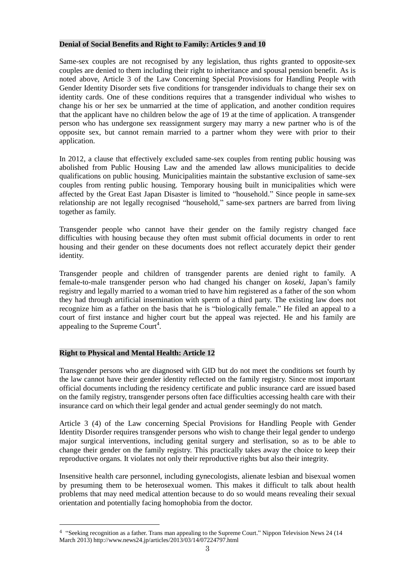#### **Denial of Social Benefits and Right to Family: Articles 9 and 10**

Same-sex couples are not recognised by any legislation, thus rights granted to opposite-sex couples are denied to them including their right to inheritance and spousal pension benefit. As is noted above, Article 3 of the Law Concerning Special Provisions for Handling People with Gender Identity Disorder sets five conditions for transgender individuals to change their sex on identity cards. One of these conditions requires that a transgender individual who wishes to change his or her sex be unmarried at the time of application, and another condition requires that the applicant have no children below the age of 19 at the time of application. A transgender person who has undergone sex reassignment surgery may marry a new partner who is of the opposite sex, but cannot remain married to a partner whom they were with prior to their application.

In 2012, a clause that effectively excluded same-sex couples from renting public housing was abolished from Public Housing Law and the amended law allows municipalities to decide qualifications on public housing. Municipalities maintain the substantive exclusion of same-sex couples from renting public housing. Temporary housing built in municipalities which were affected by the Great East Japan Disaster is limited to "household." Since people in same-sex relationship are not legally recognised "household," same-sex partners are barred from living together as family.

Transgender people who cannot have their gender on the family registry changed face difficulties with housing because they often must submit official documents in order to rent housing and their gender on these documents does not reflect accurately depict their gender identity.

Transgender people and children of transgender parents are denied right to family. A female-to-male transgender person who had changed his changer on *koseki*, Japan's family registry and legally married to a woman tried to have him registered as a father of the son whom they had through artificial insemination with sperm of a third party. The existing law does not recognize him as a father on the basis that he is "biologically female." He filed an appeal to a court of first instance and higher court but the appeal was rejected. He and his family are appealing to the Supreme Court<sup>4</sup>.

### **Right to Physical and Mental Health: Article 12**

Transgender persons who are diagnosed with GID but do not meet the conditions set fourth by the law cannot have their gender identity reflected on the family registry. Since most important official documents including the residency certificate and public insurance card are issued based on the family registry, transgender persons often face difficulties accessing health care with their insurance card on which their legal gender and actual gender seemingly do not match.

Article 3 (4) of the Law concerning Special Provisions for Handling People with Gender Identity Disorder requires transgender persons who wish to change their legal gender to undergo major surgical interventions, including genital surgery and sterlisation, so as to be able to change their gender on the family registry. This practically takes away the choice to keep their reproductive organs. It violates not only their reproductive rights but also their integrity.

Insensitive health care personnel, including gynecologists, alienate lesbian and bisexual women by presuming them to be heterosexual women. This makes it difficult to talk about health problems that may need medical attention because to do so would means revealing their sexual orientation and potentially facing homophobia from the doctor.

<sup>4</sup> "Seeking recognition as a father. Trans man appealing to the Supreme Court." Nippon Television News 24 (14 March 2013) http://www.news24.jp/articles/2013/03/14/07224797.html